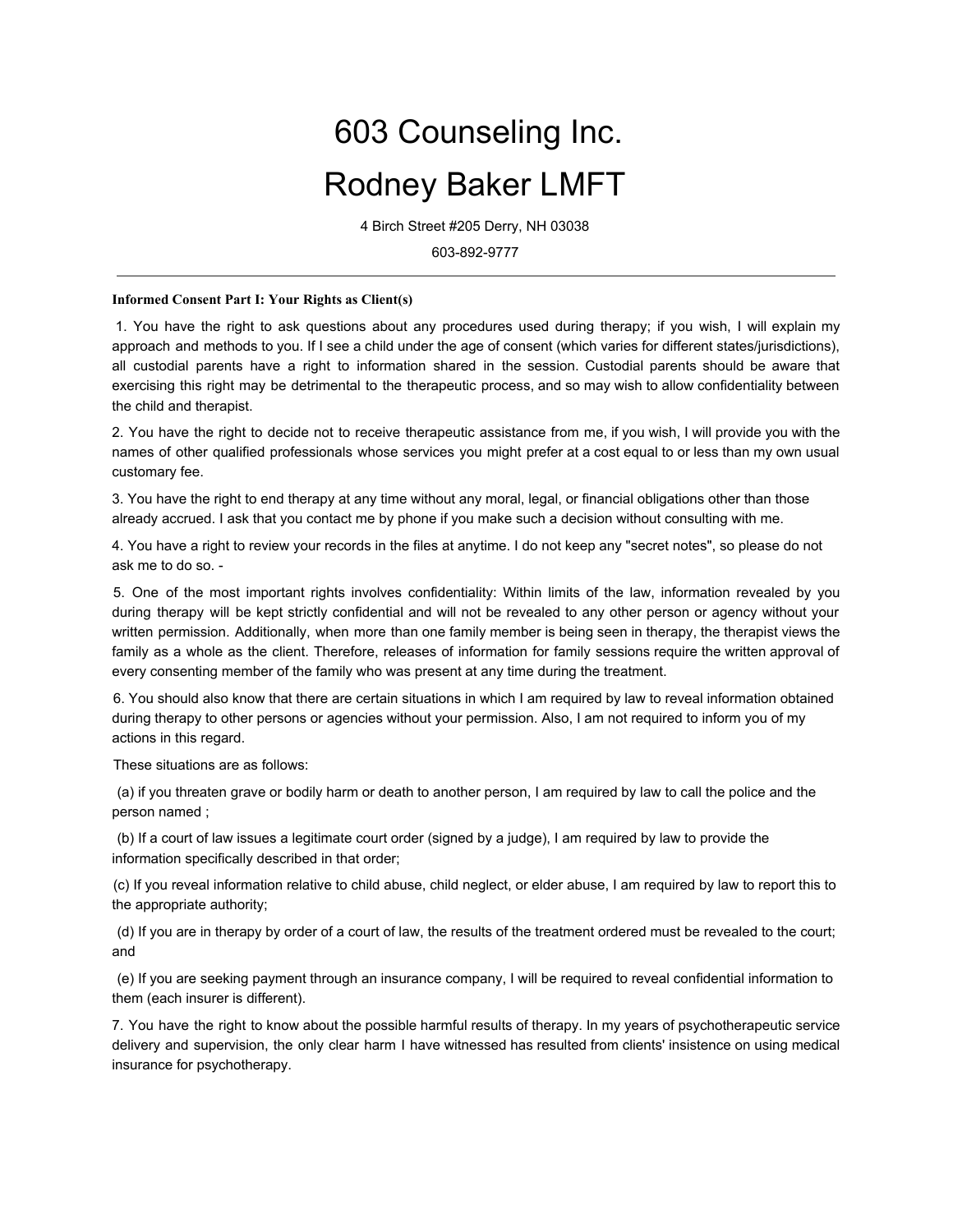## 603 Counseling Inc. Rodney Baker LMFT

4 Birch Street #205 Derry, NH 03038

603-892-9777

## **Informed Consent Part I: Your Rights as Client(s)**

1. You have the right to ask questions about any procedures used during therapy; if you wish, I will explain my approach and methods to you. If I see a child under the age of consent (which varies for different states/jurisdictions), all custodial parents have a right to information shared in the session. Custodial parents should be aware that exercising this right may be detrimental to the therapeutic process, and so may wish to allow confidentiality between the child and therapist.

2. You have the right to decide not to receive therapeutic assistance from me, if you wish, I will provide you with the names of other qualified professionals whose services you might prefer at a cost equal to or less than my own usual customary fee.

3. You have the right to end therapy at any time without any moral, legal, or financial obligations other than those already accrued. I ask that you contact me by phone if you make such a decision without consulting with me.

4. You have a right to review your records in the files at anytime. I do not keep any "secret notes", so please do not ask me to do so. -

5. One of the most important rights involves confidentiality: Within limits of the law, information revealed by you during therapy will be kept strictly confidential and will not be revealed to any other person or agency without your written permission. Additionally, when more than one family member is being seen in therapy, the therapist views the family as a whole as the client. Therefore, releases of information for family sessions require the written approval of every consenting member of the family who was present at any time during the treatment.

6. You should also know that there are certain situations in which I am required by law to reveal information obtained during therapy to other persons or agencies without your permission. Also, I am not required to inform you of my actions in this regard.

These situations are as follows:

 (a) if you threaten grave or bodily harm or death to another person, I am required by law to call the police and the person named ;

 (b) If a court of law issues a legitimate court order (signed by a judge), I am required by law to provide the information specifically described in that order;

(c) If you reveal information relative to child abuse, child neglect, or elder abuse, I am required by law to report this to the appropriate authority;

 (d) If you are in therapy by order of a court of law, the results of the treatment ordered must be revealed to the court; and

 (e) If you are seeking payment through an insurance company, I will be required to reveal confidential information to them (each insurer is different).

7. You have the right to know about the possible harmful results of therapy. In my years of psychotherapeutic service delivery and supervision, the only clear harm I have witnessed has resulted from clients' insistence on using medical insurance for psychotherapy.